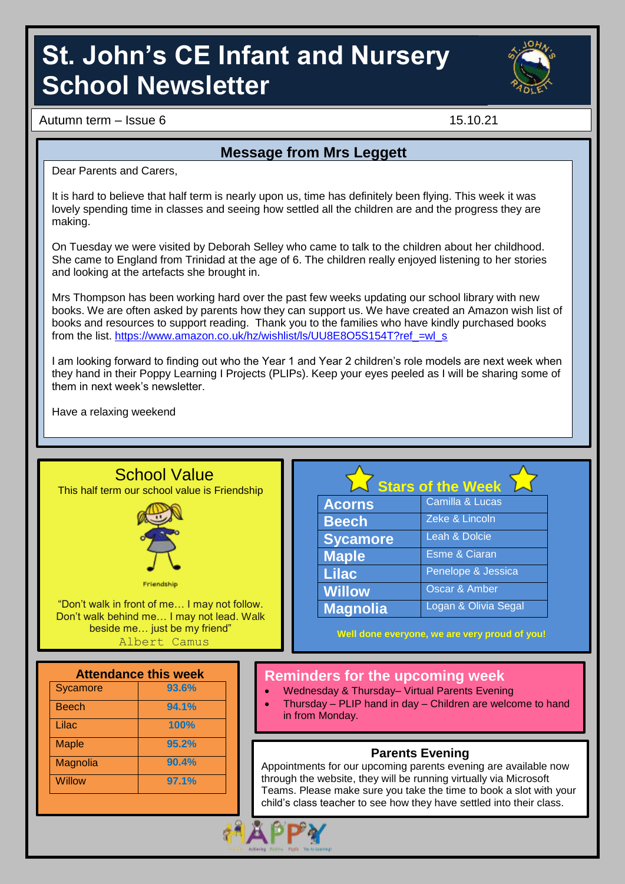# **St. John's CE Infant and Nursery School Newsletter**



Autumn term – Issue 6 15.10.21

#### **Message from Mrs Leggett**

Dear Parents and Carers,

It is hard to believe that half term is nearly upon us, time has definitely been flying. This week it was lovely spending time in classes and seeing how settled all the children are and the progress they are making.

On Tuesday we were visited by Deborah Selley who came to talk to the children about her childhood. She came to England from Trinidad at the age of 6. The children really enjoyed listening to her stories and looking at the artefacts she brought in.

Mrs Thompson has been working hard over the past few weeks updating our school library with new books. We are often asked by parents how they can support us. We have created an Amazon wish list of books and resources to support reading. Thank you to the families who have kindly purchased books from the list. https://www.amazon.co.uk/hz/wishlist/ls/UU8E8O5S154T?ref\_=wl\_s

I am looking forward to finding out who the Year 1 and Year 2 children's role models are next week when they hand in their Poppy Learning I Projects (PLIPs). Keep your eyes peeled as I will be sharing some of them in next week's newsletter.

Have a relaxing weekend

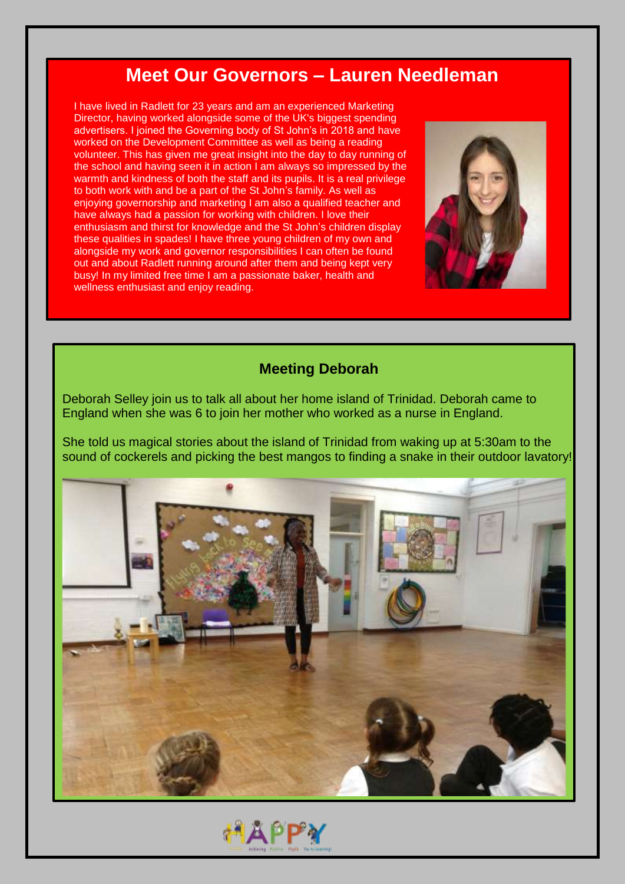### **Meet Our Governors – Lauren Needleman**

I have lived in Radlett for 23 years and am an experienced Marketing Director, having worked alongside some of the UK's biggest spending advertisers. I joined the Governing body of St John's in 2018 and have worked on the Development Committee as well as being a reading volunteer. This has given me great insight into the day to day running of the school and having seen it in action I am always so impressed by the warmth and kindness of both the staff and its pupils. It is a real privilege to both work with and be a part of the St John's family. As well as enjoying governorship and marketing I am also a qualified teacher and have always had a passion for working with children. I love their enthusiasm and thirst for knowledge and the St John's children display these qualities in spades! I have three young children of my own and alongside my work and governor responsibilities I can often be found out and about Radlett running around after them and being kept very busy! In my limited free time I am a passionate baker, health and wellness enthusiast and enjoy reading.



#### **Meeting Deborah**

Deborah Selley join us to talk all about her home island of Trinidad. Deborah came to England when she was 6 to join her mother who worked as a nurse in England.

She told us magical stories about the island of Trinidad from waking up at 5:30am to the sound of cockerels and picking the best mangos to finding a snake in their outdoor lavatory!



**АДРРУ**